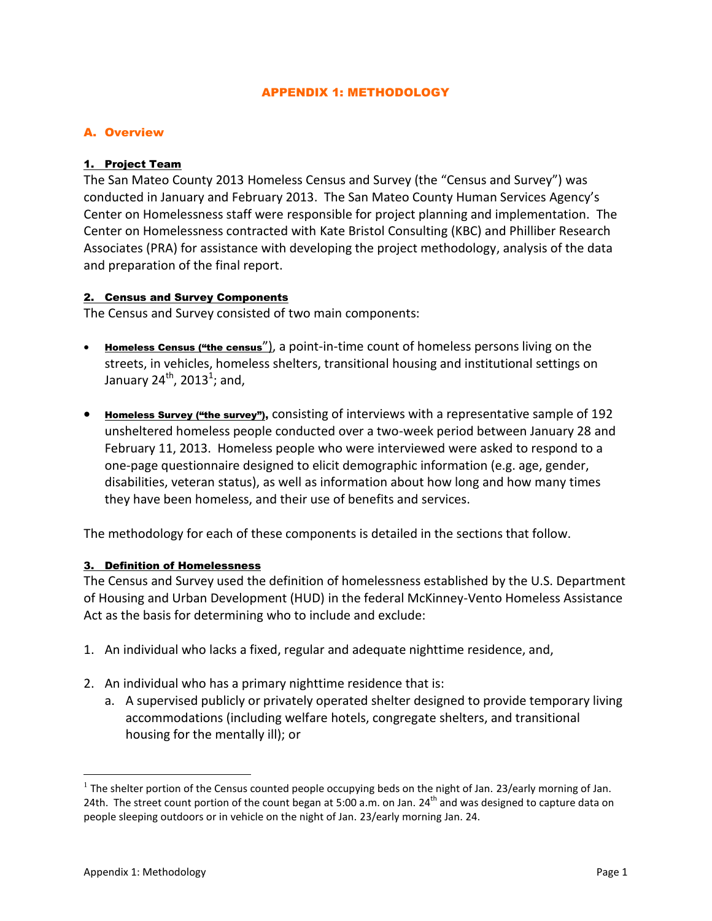### APPENDIX 1: METHODOLOGY

### A. Overview

#### 1. Project Team

The San Mateo County 2013 Homeless Census and Survey (the "Census and Survey") was conducted in January and February 2013. The San Mateo County Human Services Agency's Center on Homelessness staff were responsible for project planning and implementation. The Center on Homelessness contracted with Kate Bristol Consulting (KBC) and Philliber Research Associates (PRA) for assistance with developing the project methodology, analysis of the data and preparation of the final report.

#### 2. Census and Survey Components

The Census and Survey consisted of two main components:

- Homeless Census ("the census"), a point-in-time count of homeless persons living on the streets, in vehicles, homeless shelters, transitional housing and institutional settings on January 24 $^{\text{th}}$ , 2013 $^{\text{1}}$ ; and,
- Homeless Survey ("the survey"), consisting of interviews with a representative sample of 192 unsheltered homeless people conducted over a two-week period between January 28 and February 11, 2013. Homeless people who were interviewed were asked to respond to a one-page questionnaire designed to elicit demographic information (e.g. age, gender, disabilities, veteran status), as well as information about how long and how many times they have been homeless, and their use of benefits and services.

The methodology for each of these components is detailed in the sections that follow.

#### 3. Definition of Homelessness

The Census and Survey used the definition of homelessness established by the U.S. Department of Housing and Urban Development (HUD) in the federal McKinney-Vento Homeless Assistance Act as the basis for determining who to include and exclude:

- 1. An individual who lacks a fixed, regular and adequate nighttime residence, and,
- 2. An individual who has a primary nighttime residence that is:
	- a. A supervised publicly or privately operated shelter designed to provide temporary living accommodations (including welfare hotels, congregate shelters, and transitional housing for the mentally ill); or

 $\overline{a}$ 

<sup>&</sup>lt;sup>1</sup> The shelter portion of the Census counted people occupying beds on the night of Jan. 23/early morning of Jan. 24th. The street count portion of the count began at 5:00 a.m. on Jan. 24<sup>th</sup> and was designed to capture data on people sleeping outdoors or in vehicle on the night of Jan. 23/early morning Jan. 24.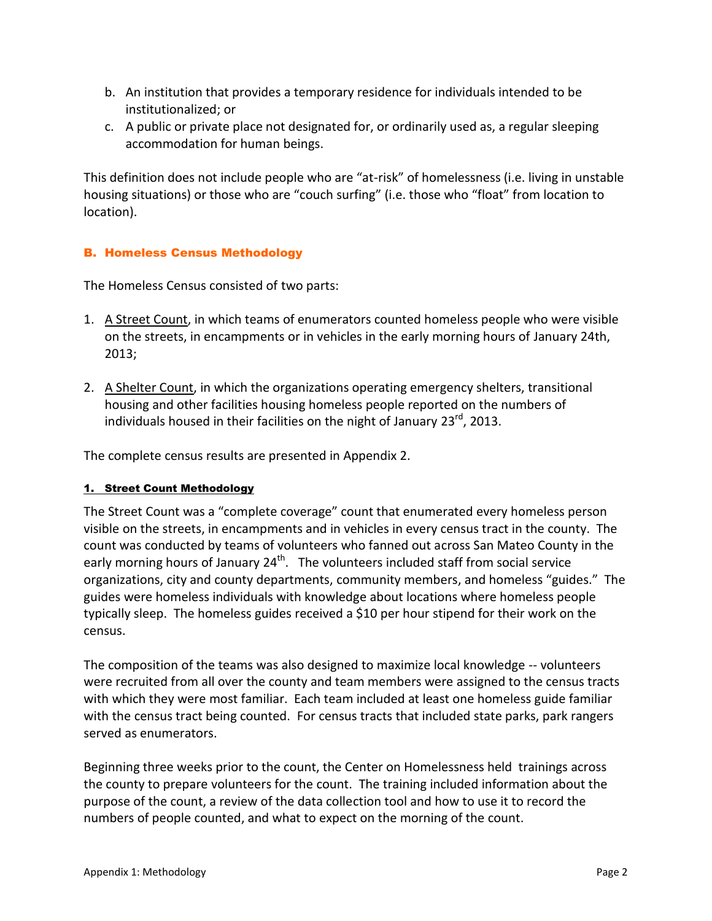- b. An institution that provides a temporary residence for individuals intended to be institutionalized; or
- c. A public or private place not designated for, or ordinarily used as, a regular sleeping accommodation for human beings.

This definition does not include people who are "at-risk" of homelessness (i.e. living in unstable housing situations) or those who are "couch surfing" (i.e. those who "float" from location to location).

# B. Homeless Census Methodology

The Homeless Census consisted of two parts:

- 1. A Street Count, in which teams of enumerators counted homeless people who were visible on the streets, in encampments or in vehicles in the early morning hours of January 24th, 2013;
- 2. A Shelter Count, in which the organizations operating emergency shelters, transitional housing and other facilities housing homeless people reported on the numbers of individuals housed in their facilities on the night of January 23<sup>rd</sup>, 2013.

The complete census results are presented in Appendix 2.

# 1. Street Count Methodology

The Street Count was a "complete coverage" count that enumerated every homeless person visible on the streets, in encampments and in vehicles in every census tract in the county. The count was conducted by teams of volunteers who fanned out across San Mateo County in the early morning hours of January 24<sup>th</sup>. The volunteers included staff from social service organizations, city and county departments, community members, and homeless "guides." The guides were homeless individuals with knowledge about locations where homeless people typically sleep. The homeless guides received a \$10 per hour stipend for their work on the census.

The composition of the teams was also designed to maximize local knowledge -- volunteers were recruited from all over the county and team members were assigned to the census tracts with which they were most familiar. Each team included at least one homeless guide familiar with the census tract being counted. For census tracts that included state parks, park rangers served as enumerators.

Beginning three weeks prior to the count, the Center on Homelessness held trainings across the county to prepare volunteers for the count. The training included information about the purpose of the count, a review of the data collection tool and how to use it to record the numbers of people counted, and what to expect on the morning of the count.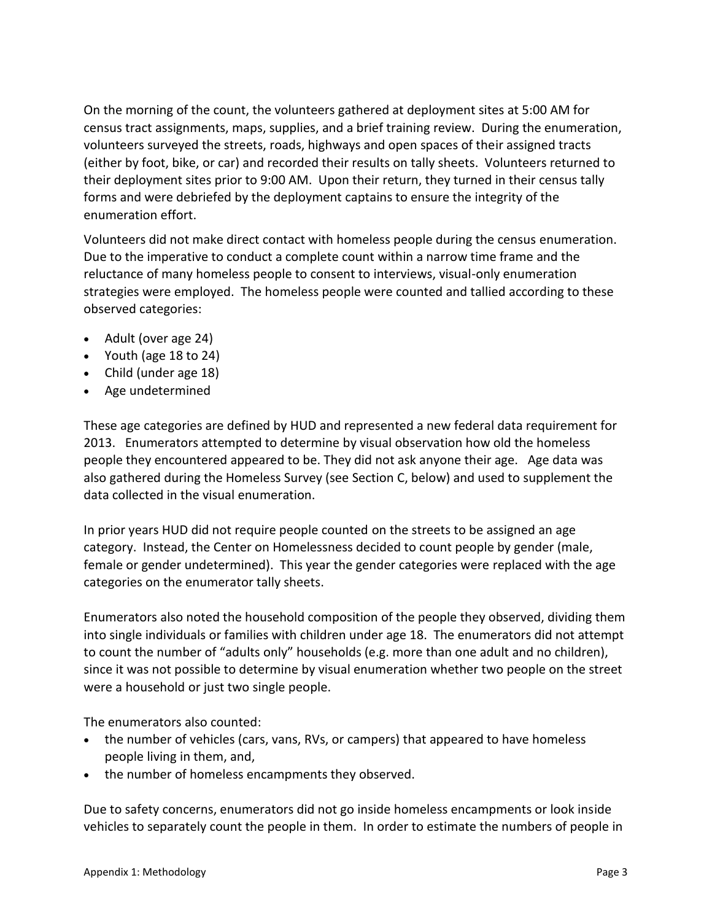On the morning of the count, the volunteers gathered at deployment sites at 5:00 AM for census tract assignments, maps, supplies, and a brief training review. During the enumeration, volunteers surveyed the streets, roads, highways and open spaces of their assigned tracts (either by foot, bike, or car) and recorded their results on tally sheets. Volunteers returned to their deployment sites prior to 9:00 AM. Upon their return, they turned in their census tally forms and were debriefed by the deployment captains to ensure the integrity of the enumeration effort.

Volunteers did not make direct contact with homeless people during the census enumeration. Due to the imperative to conduct a complete count within a narrow time frame and the reluctance of many homeless people to consent to interviews, visual-only enumeration strategies were employed. The homeless people were counted and tallied according to these observed categories:

- Adult (over age 24)
- Youth (age 18 to 24)
- Child (under age 18)
- Age undetermined

These age categories are defined by HUD and represented a new federal data requirement for 2013. Enumerators attempted to determine by visual observation how old the homeless people they encountered appeared to be. They did not ask anyone their age. Age data was also gathered during the Homeless Survey (see Section C, below) and used to supplement the data collected in the visual enumeration.

In prior years HUD did not require people counted on the streets to be assigned an age category. Instead, the Center on Homelessness decided to count people by gender (male, female or gender undetermined). This year the gender categories were replaced with the age categories on the enumerator tally sheets.

Enumerators also noted the household composition of the people they observed, dividing them into single individuals or families with children under age 18. The enumerators did not attempt to count the number of "adults only" households (e.g. more than one adult and no children), since it was not possible to determine by visual enumeration whether two people on the street were a household or just two single people.

The enumerators also counted:

- the number of vehicles (cars, vans, RVs, or campers) that appeared to have homeless people living in them, and,
- the number of homeless encampments they observed.

Due to safety concerns, enumerators did not go inside homeless encampments or look inside vehicles to separately count the people in them. In order to estimate the numbers of people in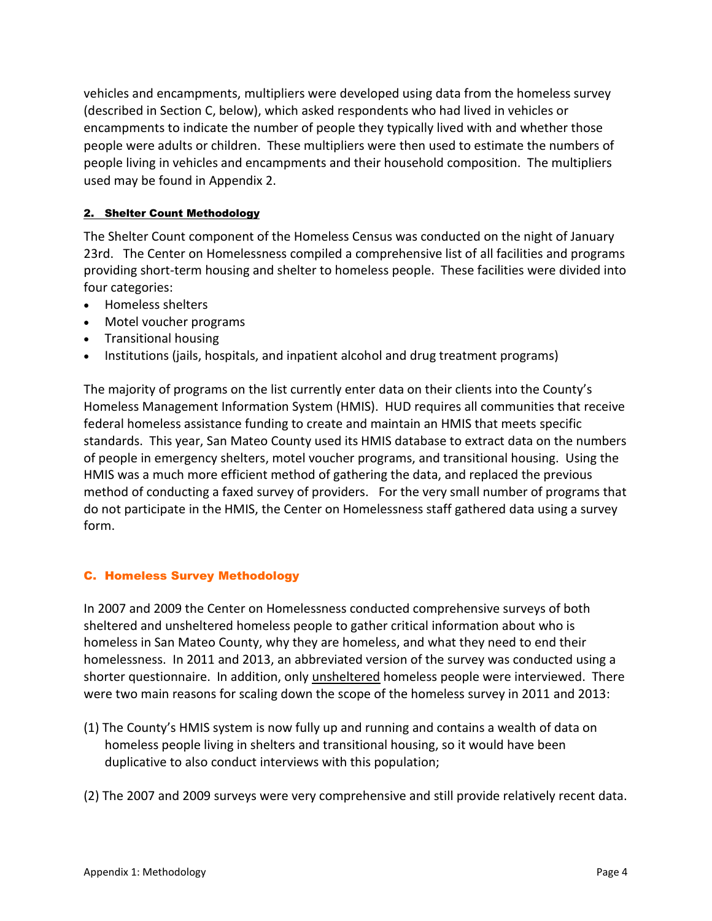vehicles and encampments, multipliers were developed using data from the homeless survey (described in Section C, below), which asked respondents who had lived in vehicles or encampments to indicate the number of people they typically lived with and whether those people were adults or children. These multipliers were then used to estimate the numbers of people living in vehicles and encampments and their household composition. The multipliers used may be found in Appendix 2.

# 2. Shelter Count Methodology

The Shelter Count component of the Homeless Census was conducted on the night of January 23rd. The Center on Homelessness compiled a comprehensive list of all facilities and programs providing short-term housing and shelter to homeless people. These facilities were divided into four categories:

- Homeless shelters
- Motel voucher programs
- Transitional housing
- Institutions (jails, hospitals, and inpatient alcohol and drug treatment programs)

The majority of programs on the list currently enter data on their clients into the County's Homeless Management Information System (HMIS). HUD requires all communities that receive federal homeless assistance funding to create and maintain an HMIS that meets specific standards. This year, San Mateo County used its HMIS database to extract data on the numbers of people in emergency shelters, motel voucher programs, and transitional housing. Using the HMIS was a much more efficient method of gathering the data, and replaced the previous method of conducting a faxed survey of providers. For the very small number of programs that do not participate in the HMIS, the Center on Homelessness staff gathered data using a survey form.

# C. Homeless Survey Methodology

In 2007 and 2009 the Center on Homelessness conducted comprehensive surveys of both sheltered and unsheltered homeless people to gather critical information about who is homeless in San Mateo County, why they are homeless, and what they need to end their homelessness. In 2011 and 2013, an abbreviated version of the survey was conducted using a shorter questionnaire. In addition, only unsheltered homeless people were interviewed. There were two main reasons for scaling down the scope of the homeless survey in 2011 and 2013:

- (1) The County's HMIS system is now fully up and running and contains a wealth of data on homeless people living in shelters and transitional housing, so it would have been duplicative to also conduct interviews with this population;
- (2) The 2007 and 2009 surveys were very comprehensive and still provide relatively recent data.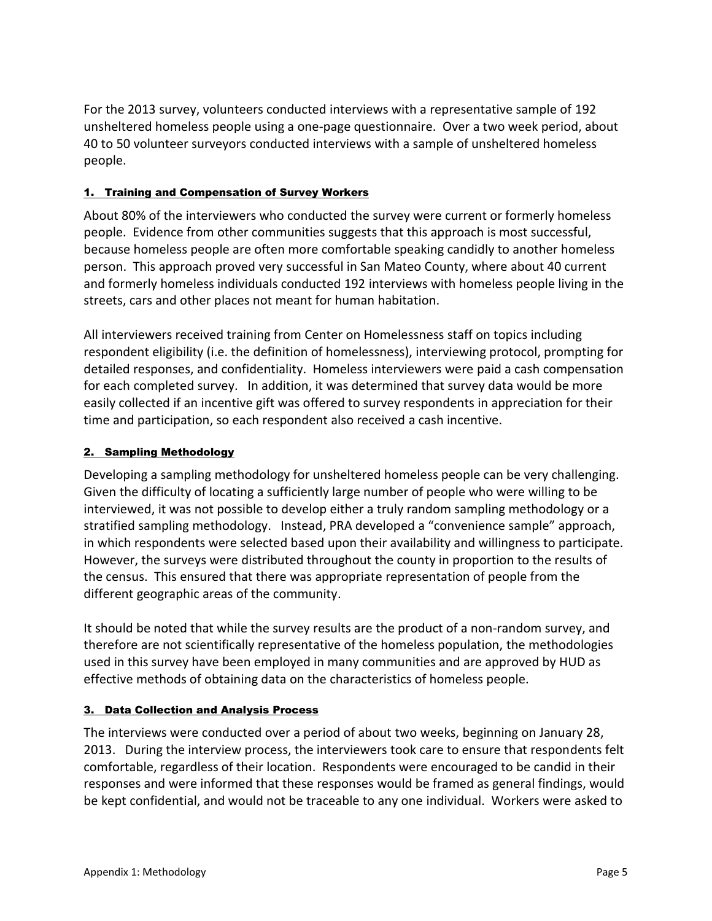For the 2013 survey, volunteers conducted interviews with a representative sample of 192 unsheltered homeless people using a one-page questionnaire. Over a two week period, about 40 to 50 volunteer surveyors conducted interviews with a sample of unsheltered homeless people.

# 1. Training and Compensation of Survey Workers

About 80% of the interviewers who conducted the survey were current or formerly homeless people. Evidence from other communities suggests that this approach is most successful, because homeless people are often more comfortable speaking candidly to another homeless person. This approach proved very successful in San Mateo County, where about 40 current and formerly homeless individuals conducted 192 interviews with homeless people living in the streets, cars and other places not meant for human habitation.

All interviewers received training from Center on Homelessness staff on topics including respondent eligibility (i.e. the definition of homelessness), interviewing protocol, prompting for detailed responses, and confidentiality. Homeless interviewers were paid a cash compensation for each completed survey. In addition, it was determined that survey data would be more easily collected if an incentive gift was offered to survey respondents in appreciation for their time and participation, so each respondent also received a cash incentive.

### 2. Sampling Methodology

Developing a sampling methodology for unsheltered homeless people can be very challenging. Given the difficulty of locating a sufficiently large number of people who were willing to be interviewed, it was not possible to develop either a truly random sampling methodology or a stratified sampling methodology. Instead, PRA developed a "convenience sample" approach, in which respondents were selected based upon their availability and willingness to participate. However, the surveys were distributed throughout the county in proportion to the results of the census. This ensured that there was appropriate representation of people from the different geographic areas of the community.

It should be noted that while the survey results are the product of a non-random survey, and therefore are not scientifically representative of the homeless population, the methodologies used in this survey have been employed in many communities and are approved by HUD as effective methods of obtaining data on the characteristics of homeless people.

#### 3. Data Collection and Analysis Process

The interviews were conducted over a period of about two weeks, beginning on January 28, 2013. During the interview process, the interviewers took care to ensure that respondents felt comfortable, regardless of their location. Respondents were encouraged to be candid in their responses and were informed that these responses would be framed as general findings, would be kept confidential, and would not be traceable to any one individual. Workers were asked to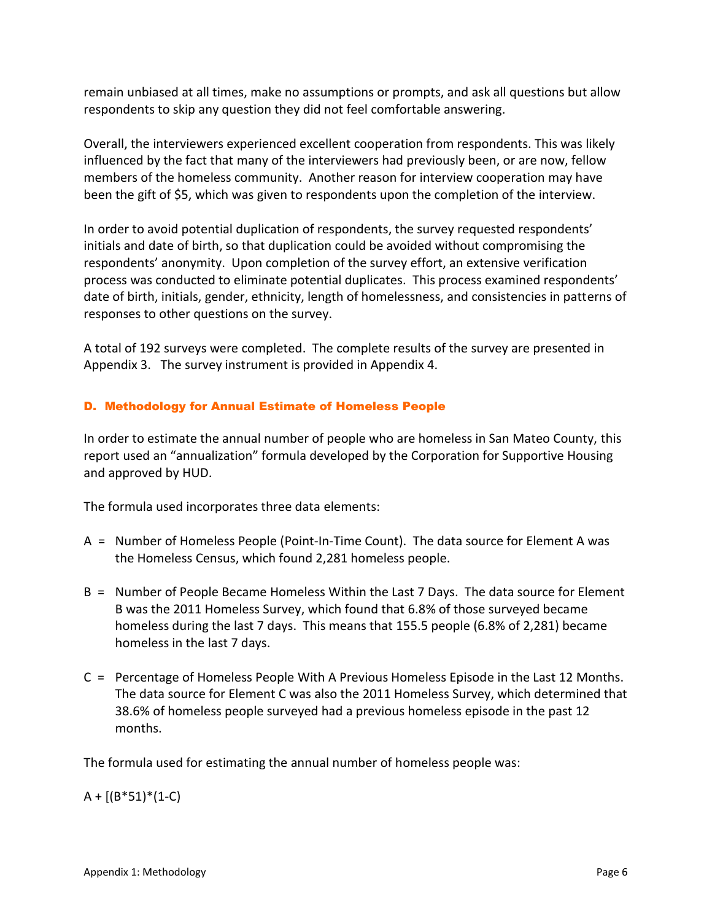remain unbiased at all times, make no assumptions or prompts, and ask all questions but allow respondents to skip any question they did not feel comfortable answering.

Overall, the interviewers experienced excellent cooperation from respondents. This was likely influenced by the fact that many of the interviewers had previously been, or are now, fellow members of the homeless community. Another reason for interview cooperation may have been the gift of \$5, which was given to respondents upon the completion of the interview.

In order to avoid potential duplication of respondents, the survey requested respondents' initials and date of birth, so that duplication could be avoided without compromising the respondents' anonymity. Upon completion of the survey effort, an extensive verification process was conducted to eliminate potential duplicates. This process examined respondents' date of birth, initials, gender, ethnicity, length of homelessness, and consistencies in patterns of responses to other questions on the survey.

A total of 192 surveys were completed. The complete results of the survey are presented in Appendix 3. The survey instrument is provided in Appendix 4.

# D. Methodology for Annual Estimate of Homeless People

In order to estimate the annual number of people who are homeless in San Mateo County, this report used an "annualization" formula developed by the Corporation for Supportive Housing and approved by HUD.

The formula used incorporates three data elements:

- A = Number of Homeless People (Point-In-Time Count). The data source for Element A was the Homeless Census, which found 2,281 homeless people.
- B = Number of People Became Homeless Within the Last 7 Days. The data source for Element B was the 2011 Homeless Survey, which found that 6.8% of those surveyed became homeless during the last 7 days. This means that 155.5 people (6.8% of 2,281) became homeless in the last 7 days.
- C = Percentage of Homeless People With A Previous Homeless Episode in the Last 12 Months. The data source for Element C was also the 2011 Homeless Survey, which determined that 38.6% of homeless people surveyed had a previous homeless episode in the past 12 months.

The formula used for estimating the annual number of homeless people was:

 $A + [(B*51)*(1-C)]$